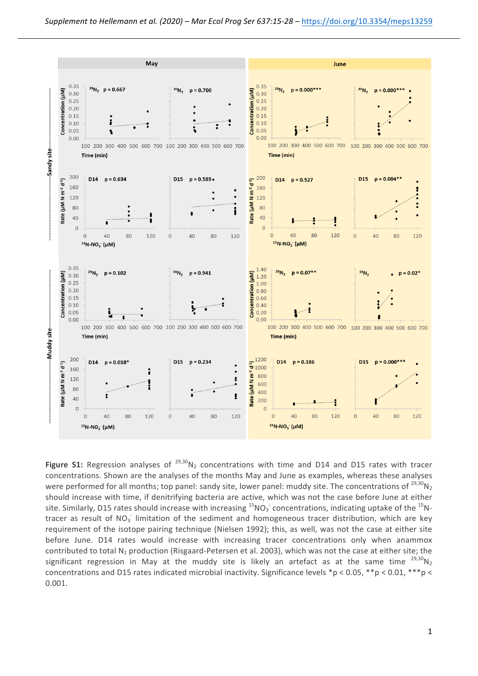

**Figure S1:** Regression analyses of  $^{29,30}N_2$  concentrations with time and D14 and D15 rates with tracer concentrations. Shown are the analyses of the months May and June as examples, whereas these analyses were performed for all months; top panel: sandy site, lower panel: muddy site. The concentrations of  $^{29,30}N<sub>2</sub>$ should increase with time, if denitrifying bacteria are active, which was not the case before June at either site. Similarly, D15 rates should increase with increasing  $^{15}$ NO<sub>3</sub> concentrations, indicating uptake of the  $^{15}$ Ntracer as result of NO<sub>3</sub> limitation of the sediment and homogeneous tracer distribution, which are key requirement of the isotope pairing technique (Nielsen 1992); this, as well, was not the case at either site before June. D14 rates would increase with increasing tracer concentrations only when anammox contributed to total  $N<sub>2</sub>$  production (Risgaard-Petersen et al. 2003), which was not the case at either site; the significant regression in May at the muddy site is likely an artefact as at the same time  $^{29,30}N_2$ concentrations and D15 rates indicated microbial inactivity. Significance levels \*p < 0.05, \*\*p < 0.01, \*\*\*p < 0.001.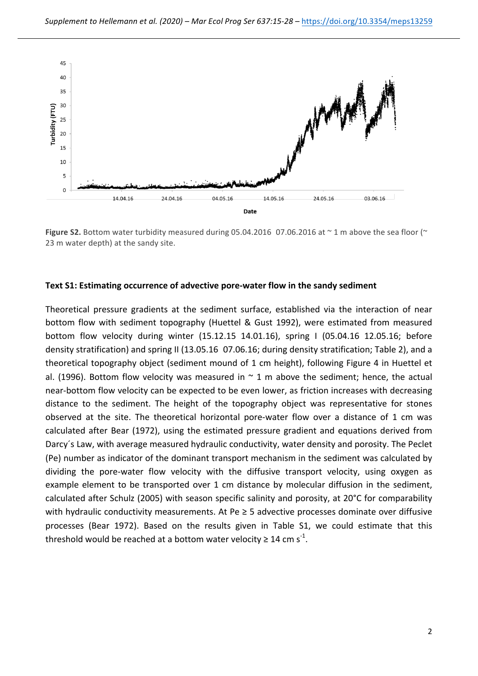

Figure S2. Bottom water turbidity measured during 05.04.2016 07.06.2016 at  $\sim$  1 m above the sea floor ( $\sim$ 23 m water depth) at the sandy site.

## Text S1: Estimating occurrence of advective pore-water flow in the sandy sediment

Theoretical pressure gradients at the sediment surface, established via the interaction of near bottom flow with sediment topography (Huettel & Gust 1992), were estimated from measured bottom flow velocity during winter (15.12.15 14.01.16), spring I (05.04.16 12.05.16; before density stratification) and spring II (13.05.16 07.06.16; during density stratification; Table 2), and a theoretical topography object (sediment mound of 1 cm height), following Figure 4 in Huettel et al. (1996). Bottom flow velocity was measured in  $\sim$  1 m above the sediment; hence, the actual near-bottom flow velocity can be expected to be even lower, as friction increases with decreasing distance to the sediment. The height of the topography object was representative for stones observed at the site. The theoretical horizontal pore-water flow over a distance of 1 cm was calculated after Bear (1972), using the estimated pressure gradient and equations derived from Darcy's Law, with average measured hydraulic conductivity, water density and porosity. The Peclet (Pe) number as indicator of the dominant transport mechanism in the sediment was calculated by dividing the pore-water flow velocity with the diffusive transport velocity, using oxygen as example element to be transported over 1 cm distance by molecular diffusion in the sediment, calculated after Schulz (2005) with season specific salinity and porosity, at 20°C for comparability with hydraulic conductivity measurements. At Pe  $\geq$  5 advective processes dominate over diffusive processes (Bear 1972). Based on the results given in Table S1, we could estimate that this threshold would be reached at a bottom water velocity  $\geq 14$  cm s<sup>-1</sup>.